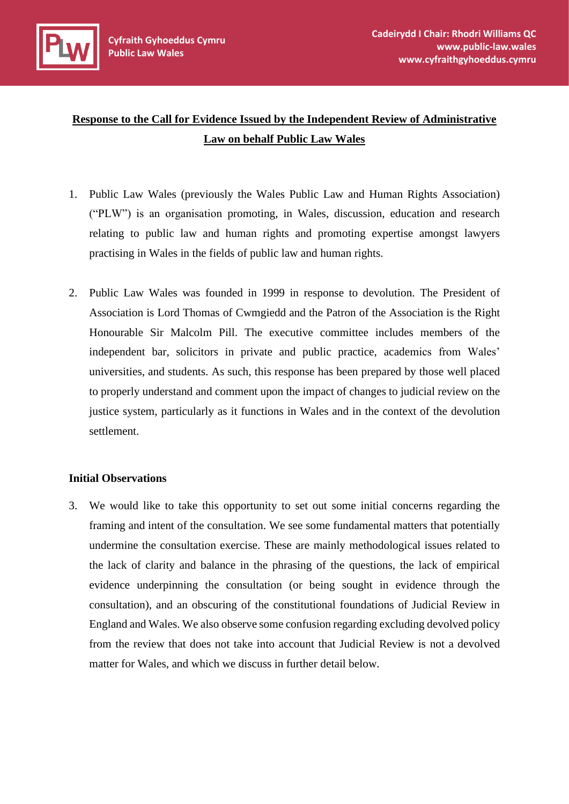

# **Response to the Call for Evidence Issued by the Independent Review of Administrative Law on behalf Public Law Wales**

- 1. Public Law Wales (previously the Wales Public Law and Human Rights Association) ("PLW") is an organisation promoting, in Wales, discussion, education and research relating to public law and human rights and promoting expertise amongst lawyers practising in Wales in the fields of public law and human rights.
- 2. Public Law Wales was founded in 1999 in response to devolution. The President of Association is Lord Thomas of Cwmgiedd and the Patron of the Association is the Right Honourable Sir Malcolm Pill. The executive committee includes members of the independent bar, solicitors in private and public practice, academics from Wales' universities, and students. As such, this response has been prepared by those well placed to properly understand and comment upon the impact of changes to judicial review on the justice system, particularly as it functions in Wales and in the context of the devolution settlement.

#### **Initial Observations**

3. We would like to take this opportunity to set out some initial concerns regarding the framing and intent of the consultation. We see some fundamental matters that potentially undermine the consultation exercise. These are mainly methodological issues related to the lack of clarity and balance in the phrasing of the questions, the lack of empirical evidence underpinning the consultation (or being sought in evidence through the consultation), and an obscuring of the constitutional foundations of Judicial Review in England and Wales. We also observe some confusion regarding excluding devolved policy from the review that does not take into account that Judicial Review is not a devolved matter for Wales, and which we discuss in further detail below.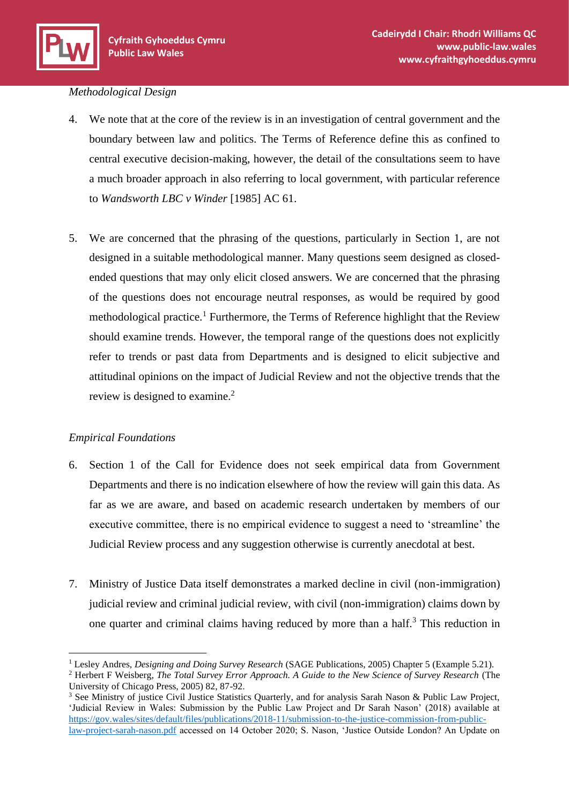#### *Methodological Design*

- 4. We note that at the core of the review is in an investigation of central government and the boundary between law and politics. The Terms of Reference define this as confined to central executive decision-making, however, the detail of the consultations seem to have a much broader approach in also referring to local government, with particular reference to *Wandsworth LBC v Winder* [1985] AC 61.
- 5. We are concerned that the phrasing of the questions, particularly in Section 1, are not designed in a suitable methodological manner. Many questions seem designed as closedended questions that may only elicit closed answers. We are concerned that the phrasing of the questions does not encourage neutral responses, as would be required by good methodological practice.<sup>1</sup> Furthermore, the Terms of Reference highlight that the Review should examine trends. However, the temporal range of the questions does not explicitly refer to trends or past data from Departments and is designed to elicit subjective and attitudinal opinions on the impact of Judicial Review and not the objective trends that the review is designed to examine.<sup>2</sup>

# *Empirical Foundations*

- 6. Section 1 of the Call for Evidence does not seek empirical data from Government Departments and there is no indication elsewhere of how the review will gain this data. As far as we are aware, and based on academic research undertaken by members of our executive committee, there is no empirical evidence to suggest a need to 'streamline' the Judicial Review process and any suggestion otherwise is currently anecdotal at best.
- 7. Ministry of Justice Data itself demonstrates a marked decline in civil (non-immigration) judicial review and criminal judicial review, with civil (non-immigration) claims down by one quarter and criminal claims having reduced by more than a half.<sup>3</sup> This reduction in

<sup>1</sup> Lesley Andres, *Designing and Doing Survey Research* (SAGE Publications, 2005) Chapter 5 (Example 5.21).

<sup>&</sup>lt;sup>2</sup> Herbert F Weisberg, *The Total Survey Error Approach. A Guide to the New Science of Survey Research* (The University of Chicago Press, 2005) 82, 87-92.

<sup>&</sup>lt;sup>3</sup> See Ministry of justice Civil Justice Statistics Quarterly, and for analysis Sarah Nason & Public Law Project, 'Judicial Review in Wales: Submission by the Public Law Project and Dr Sarah Nason' (2018) available at [https://gov.wales/sites/default/files/publications/2018-11/submission-to-the-justice-commission-from-public](https://gov.wales/sites/default/files/publications/2018-11/submission-to-the-justice-commission-from-public-law-project-sarah-nason.pdf)[law-project-sarah-nason.pdf](https://gov.wales/sites/default/files/publications/2018-11/submission-to-the-justice-commission-from-public-law-project-sarah-nason.pdf) accessed on 14 October 2020; S. Nason, 'Justice Outside London? An Update on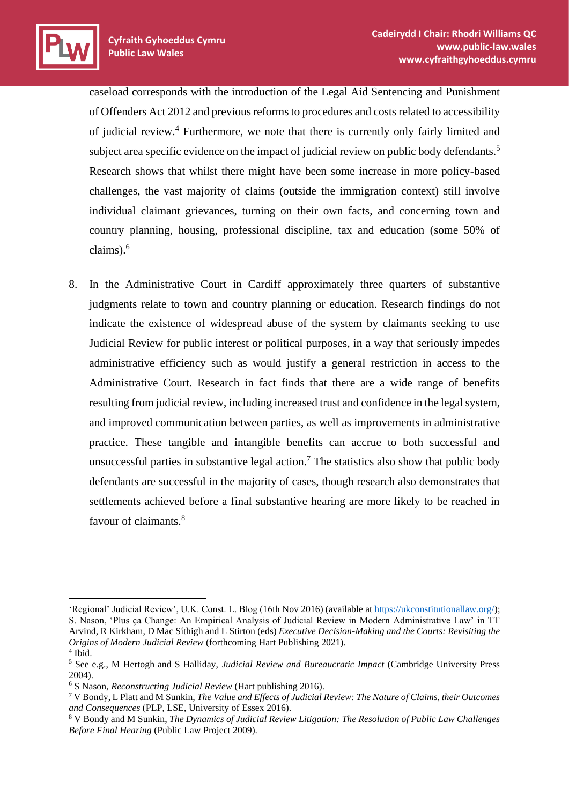caseload corresponds with the introduction of the Legal Aid Sentencing and Punishment of Offenders Act 2012 and previous reforms to procedures and costs related to accessibility of judicial review.<sup>4</sup> Furthermore, we note that there is currently only fairly limited and subject area specific evidence on the impact of judicial review on public body defendants.<sup>5</sup> Research shows that whilst there might have been some increase in more policy-based challenges, the vast majority of claims (outside the immigration context) still involve individual claimant grievances, turning on their own facts, and concerning town and country planning, housing, professional discipline, tax and education (some 50% of claims).<sup>6</sup>

8. In the Administrative Court in Cardiff approximately three quarters of substantive judgments relate to town and country planning or education. Research findings do not indicate the existence of widespread abuse of the system by claimants seeking to use Judicial Review for public interest or political purposes, in a way that seriously impedes administrative efficiency such as would justify a general restriction in access to the Administrative Court. Research in fact finds that there are a wide range of benefits resulting from judicial review, including increased trust and confidence in the legal system, and improved communication between parties, as well as improvements in administrative practice. These tangible and intangible benefits can accrue to both successful and unsuccessful parties in substantive legal action.<sup>7</sup> The statistics also show that public body defendants are successful in the majority of cases, though research also demonstrates that settlements achieved before a final substantive hearing are more likely to be reached in favour of claimants.<sup>8</sup>

<sup>&#</sup>x27;Regional' Judicial Review', U.K. Const. L. Blog (16th Nov 2016) (available at [https://ukconstitutionallaw.org/\)](https://ukconstitutionallaw.org/); S. Nason, 'Plus ça Change: An Empirical Analysis of Judicial Review in Modern Administrative Law' in TT Arvind, R Kirkham, D Mac Síthigh and L Stirton (eds) *Executive Decision-Making and the Courts: Revisiting the Origins of Modern Judicial Review* (forthcoming Hart Publishing 2021). 4 Ibid.

<sup>5</sup> See e.g., M Hertogh and S Halliday, *Judicial Review and Bureaucratic Impact* (Cambridge University Press 2004).

<sup>6</sup> S Nason, *Reconstructing Judicial Review* (Hart publishing 2016).

<sup>7</sup> V Bondy, L Platt and M Sunkin, *The Value and Effects of Judicial Review: The Nature of Claims, their Outcomes and Consequences* (PLP, LSE, University of Essex 2016).

<sup>8</sup> V Bondy and M Sunkin, *The Dynamics of Judicial Review Litigation: The Resolution of Public Law Challenges Before Final Hearing* (Public Law Project 2009).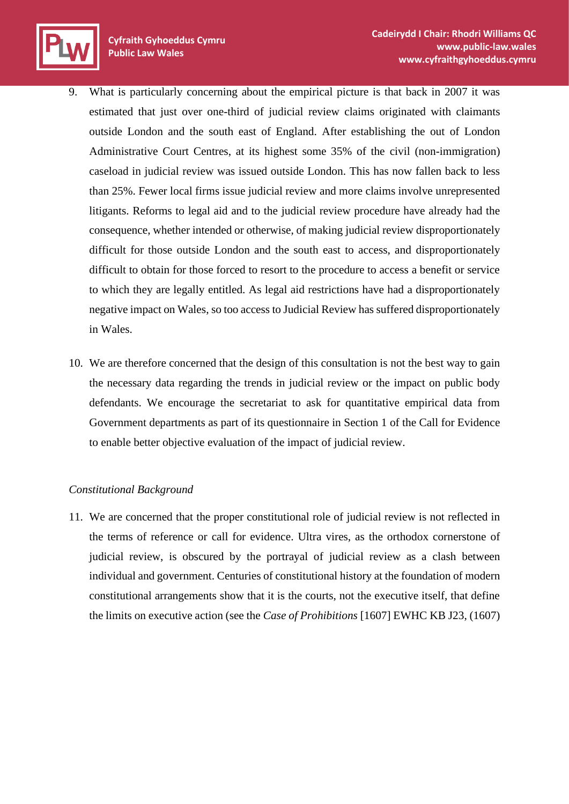- 9. What is particularly concerning about the empirical picture is that back in 2007 it was estimated that just over one-third of judicial review claims originated with claimants outside London and the south east of England. After establishing the out of London Administrative Court Centres, at its highest some 35% of the civil (non-immigration) caseload in judicial review was issued outside London. This has now fallen back to less than 25%. Fewer local firms issue judicial review and more claims involve unrepresented litigants. Reforms to legal aid and to the judicial review procedure have already had the consequence, whether intended or otherwise, of making judicial review disproportionately difficult for those outside London and the south east to access, and disproportionately difficult to obtain for those forced to resort to the procedure to access a benefit or service to which they are legally entitled. As legal aid restrictions have had a disproportionately negative impact on Wales, so too access to Judicial Review has suffered disproportionately in Wales.
- 10. We are therefore concerned that the design of this consultation is not the best way to gain the necessary data regarding the trends in judicial review or the impact on public body defendants. We encourage the secretariat to ask for quantitative empirical data from Government departments as part of its questionnaire in Section 1 of the Call for Evidence to enable better objective evaluation of the impact of judicial review.

# *Constitutional Background*

11. We are concerned that the proper constitutional role of judicial review is not reflected in the terms of reference or call for evidence. Ultra vires, as the orthodox cornerstone of judicial review, is obscured by the portrayal of judicial review as a clash between individual and government. Centuries of constitutional history at the foundation of modern constitutional arrangements show that it is the courts, not the executive itself, that define the limits on executive action (see the *Case of Prohibitions* [1607] EWHC KB J23, (1607)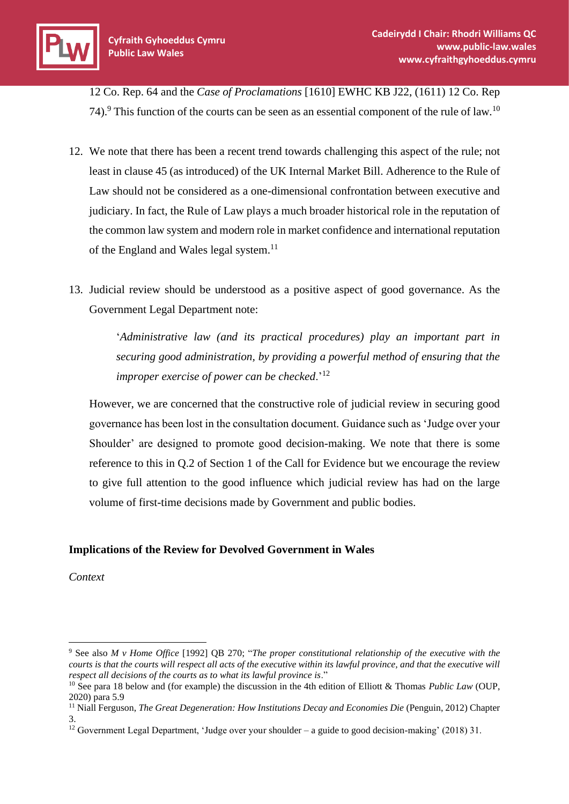

12 Co. Rep. 64 and the *Case of Proclamations* [1610] EWHC KB J22, (1611) 12 Co. Rep 74).<sup>9</sup> This function of the courts can be seen as an essential component of the rule of law.<sup>10</sup>

- 12. We note that there has been a recent trend towards challenging this aspect of the rule; not least in clause 45 (as introduced) of the UK Internal Market Bill. Adherence to the Rule of Law should not be considered as a one-dimensional confrontation between executive and judiciary. In fact, the Rule of Law plays a much broader historical role in the reputation of the common law system and modern role in market confidence and international reputation of the England and Wales legal system.<sup>11</sup>
- 13. Judicial review should be understood as a positive aspect of good governance. As the Government Legal Department note:

'*Administrative law (and its practical procedures) play an important part in securing good administration, by providing a powerful method of ensuring that the improper exercise of power can be checked*.'<sup>12</sup>

However, we are concerned that the constructive role of judicial review in securing good governance has been lost in the consultation document. Guidance such as 'Judge over your Shoulder' are designed to promote good decision-making. We note that there is some reference to this in Q.2 of Section 1 of the Call for Evidence but we encourage the review to give full attention to the good influence which judicial review has had on the large volume of first-time decisions made by Government and public bodies.

# **Implications of the Review for Devolved Government in Wales**

*Context*

<sup>9</sup> See also *M v Home Office* [1992] QB 270; "*The proper constitutional relationship of the executive with the courts is that the courts will respect all acts of the executive within its lawful province, and that the executive will respect all decisions of the courts as to what its lawful province is*."

<sup>10</sup> See para 18 below and (for example) the discussion in the 4th edition of Elliott & Thomas *Public Law* (OUP, 2020) para 5.9

<sup>&</sup>lt;sup>11</sup> Niall Ferguson, *The Great Degeneration: How Institutions Decay and Economies Die (Penguin, 2012) Chapter* 3.

<sup>&</sup>lt;sup>12</sup> Government Legal Department, 'Judge over your shoulder – a guide to good decision-making' (2018) 31.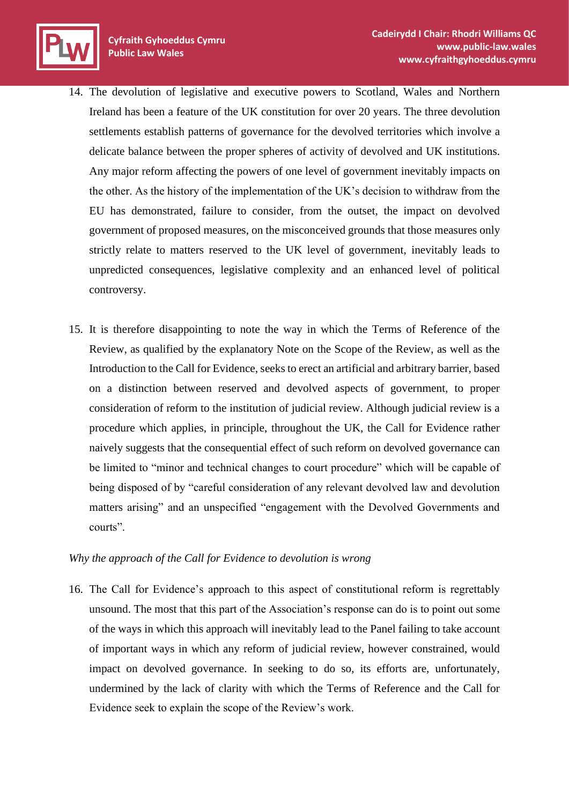

- 14. The devolution of legislative and executive powers to Scotland, Wales and Northern Ireland has been a feature of the UK constitution for over 20 years. The three devolution settlements establish patterns of governance for the devolved territories which involve a delicate balance between the proper spheres of activity of devolved and UK institutions. Any major reform affecting the powers of one level of government inevitably impacts on the other. As the history of the implementation of the UK's decision to withdraw from the EU has demonstrated, failure to consider, from the outset, the impact on devolved government of proposed measures, on the misconceived grounds that those measures only strictly relate to matters reserved to the UK level of government, inevitably leads to unpredicted consequences, legislative complexity and an enhanced level of political controversy.
- 15. It is therefore disappointing to note the way in which the Terms of Reference of the Review, as qualified by the explanatory Note on the Scope of the Review, as well as the Introduction to the Call for Evidence, seeks to erect an artificial and arbitrary barrier, based on a distinction between reserved and devolved aspects of government, to proper consideration of reform to the institution of judicial review. Although judicial review is a procedure which applies, in principle, throughout the UK, the Call for Evidence rather naively suggests that the consequential effect of such reform on devolved governance can be limited to "minor and technical changes to court procedure" which will be capable of being disposed of by "careful consideration of any relevant devolved law and devolution matters arising" and an unspecified "engagement with the Devolved Governments and courts".

#### *Why the approach of the Call for Evidence to devolution is wrong*

16. The Call for Evidence's approach to this aspect of constitutional reform is regrettably unsound. The most that this part of the Association's response can do is to point out some of the ways in which this approach will inevitably lead to the Panel failing to take account of important ways in which any reform of judicial review, however constrained, would impact on devolved governance. In seeking to do so, its efforts are, unfortunately, undermined by the lack of clarity with which the Terms of Reference and the Call for Evidence seek to explain the scope of the Review's work.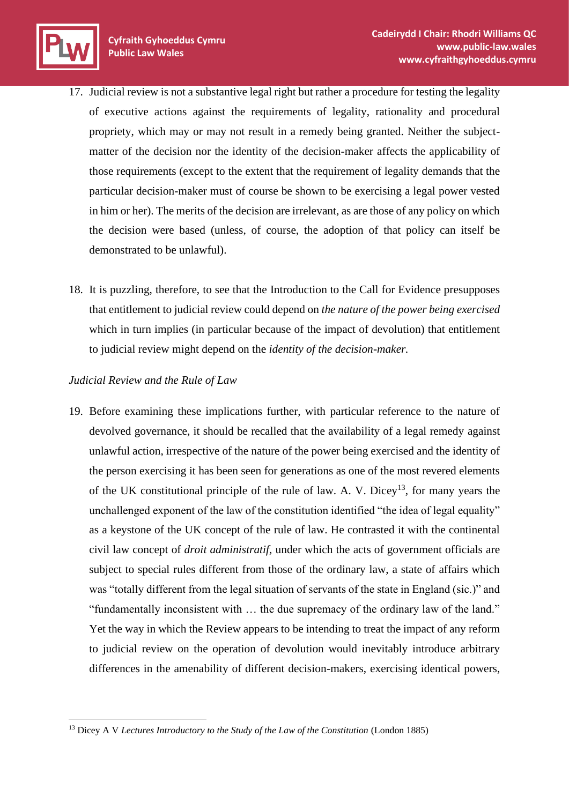- 17. Judicial review is not a substantive legal right but rather a procedure for testing the legality of executive actions against the requirements of legality, rationality and procedural propriety, which may or may not result in a remedy being granted. Neither the subjectmatter of the decision nor the identity of the decision-maker affects the applicability of those requirements (except to the extent that the requirement of legality demands that the particular decision-maker must of course be shown to be exercising a legal power vested in him or her). The merits of the decision are irrelevant, as are those of any policy on which the decision were based (unless, of course, the adoption of that policy can itself be demonstrated to be unlawful).
- 18. It is puzzling, therefore, to see that the Introduction to the Call for Evidence presupposes that entitlement to judicial review could depend on *the nature of the power being exercised* which in turn implies (in particular because of the impact of devolution) that entitlement to judicial review might depend on the *identity of the decision-maker.*

# *Judicial Review and the Rule of Law*

19. Before examining these implications further, with particular reference to the nature of devolved governance, it should be recalled that the availability of a legal remedy against unlawful action, irrespective of the nature of the power being exercised and the identity of the person exercising it has been seen for generations as one of the most revered elements of the UK constitutional principle of the rule of law. A. V. Dicey<sup>13</sup>, for many years the unchallenged exponent of the law of the constitution identified "the idea of legal equality" as a keystone of the UK concept of the rule of law. He contrasted it with the continental civil law concept of *droit administratif,* under which the acts of government officials are subject to special rules different from those of the ordinary law, a state of affairs which was "totally different from the legal situation of servants of the state in England (sic.)" and "fundamentally inconsistent with … the due supremacy of the ordinary law of the land." Yet the way in which the Review appears to be intending to treat the impact of any reform to judicial review on the operation of devolution would inevitably introduce arbitrary differences in the amenability of different decision-makers, exercising identical powers,

<sup>&</sup>lt;sup>13</sup> Dicey A V *Lectures Introductory to the Study of the Law of the Constitution (London 1885)*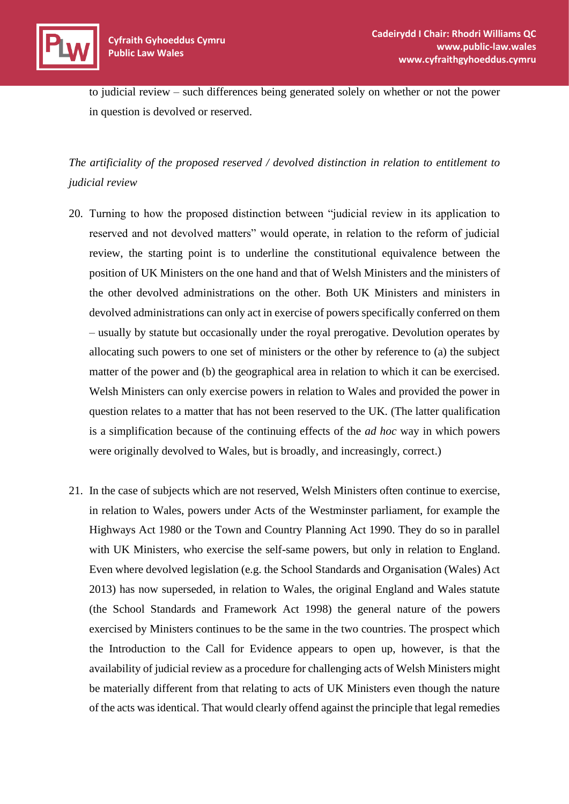

to judicial review – such differences being generated solely on whether or not the power in question is devolved or reserved.

*The artificiality of the proposed reserved / devolved distinction in relation to entitlement to judicial review*

- 20. Turning to how the proposed distinction between "judicial review in its application to reserved and not devolved matters" would operate, in relation to the reform of judicial review, the starting point is to underline the constitutional equivalence between the position of UK Ministers on the one hand and that of Welsh Ministers and the ministers of the other devolved administrations on the other. Both UK Ministers and ministers in devolved administrations can only act in exercise of powers specifically conferred on them – usually by statute but occasionally under the royal prerogative. Devolution operates by allocating such powers to one set of ministers or the other by reference to (a) the subject matter of the power and (b) the geographical area in relation to which it can be exercised. Welsh Ministers can only exercise powers in relation to Wales and provided the power in question relates to a matter that has not been reserved to the UK. (The latter qualification is a simplification because of the continuing effects of the *ad hoc* way in which powers were originally devolved to Wales, but is broadly, and increasingly, correct.)
- 21. In the case of subjects which are not reserved, Welsh Ministers often continue to exercise, in relation to Wales, powers under Acts of the Westminster parliament, for example the Highways Act 1980 or the Town and Country Planning Act 1990. They do so in parallel with UK Ministers, who exercise the self-same powers, but only in relation to England. Even where devolved legislation (e.g. the School Standards and Organisation (Wales) Act 2013) has now superseded, in relation to Wales, the original England and Wales statute (the School Standards and Framework Act 1998) the general nature of the powers exercised by Ministers continues to be the same in the two countries. The prospect which the Introduction to the Call for Evidence appears to open up, however, is that the availability of judicial review as a procedure for challenging acts of Welsh Ministers might be materially different from that relating to acts of UK Ministers even though the nature of the acts was identical. That would clearly offend against the principle that legal remedies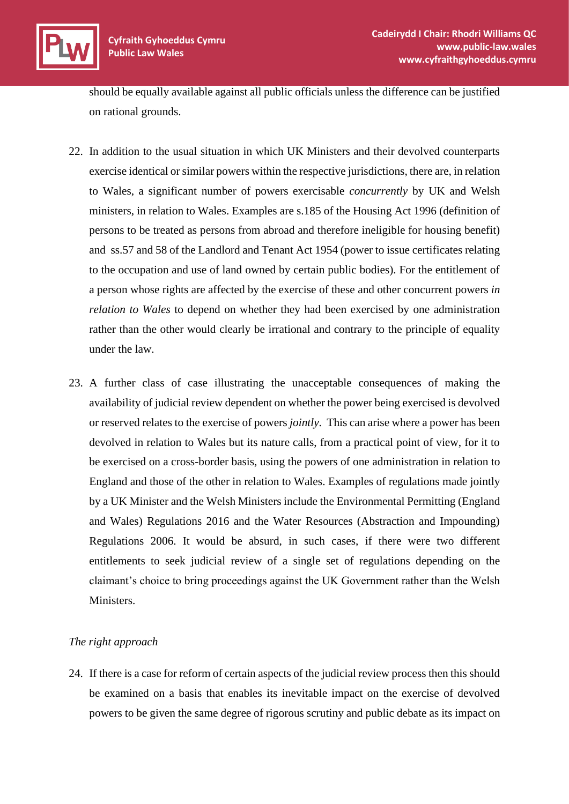should be equally available against all public officials unless the difference can be justified on rational grounds.

- 22. In addition to the usual situation in which UK Ministers and their devolved counterparts exercise identical or similar powers within the respective jurisdictions, there are, in relation to Wales, a significant number of powers exercisable *concurrently* by UK and Welsh ministers, in relation to Wales. Examples are s.185 of the Housing Act 1996 (definition of persons to be treated as persons from abroad and therefore ineligible for housing benefit) and ss.57 and 58 of the Landlord and Tenant Act 1954 (power to issue certificates relating to the occupation and use of land owned by certain public bodies). For the entitlement of a person whose rights are affected by the exercise of these and other concurrent powers *in relation to Wales* to depend on whether they had been exercised by one administration rather than the other would clearly be irrational and contrary to the principle of equality under the law.
- 23. A further class of case illustrating the unacceptable consequences of making the availability of judicial review dependent on whether the power being exercised is devolved or reserved relates to the exercise of powers *jointly.* This can arise where a power has been devolved in relation to Wales but its nature calls, from a practical point of view, for it to be exercised on a cross-border basis, using the powers of one administration in relation to England and those of the other in relation to Wales. Examples of regulations made jointly by a UK Minister and the Welsh Ministers include the Environmental Permitting (England and Wales) Regulations 2016 and the Water Resources (Abstraction and Impounding) Regulations 2006. It would be absurd, in such cases, if there were two different entitlements to seek judicial review of a single set of regulations depending on the claimant's choice to bring proceedings against the UK Government rather than the Welsh Ministers.

# *The right approach*

24. If there is a case for reform of certain aspects of the judicial review process then this should be examined on a basis that enables its inevitable impact on the exercise of devolved powers to be given the same degree of rigorous scrutiny and public debate as its impact on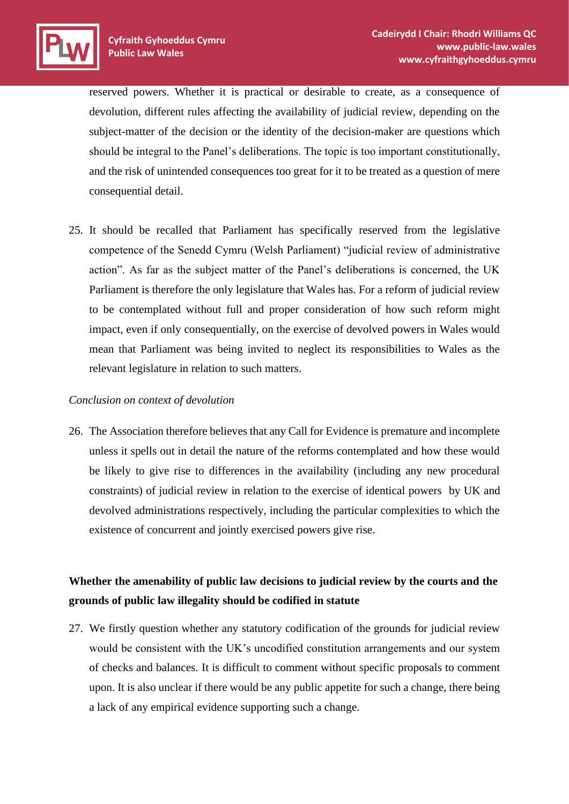reserved powers. Whether it is practical or desirable to create, as a consequence of devolution, different rules affecting the availability of judicial review, depending on the subject-matter of the decision or the identity of the decision-maker are questions which should be integral to the Panel's deliberations. The topic is too important constitutionally, and the risk of unintended consequences too great for it to be treated as a question of mere consequential detail.

25. It should be recalled that Parliament has specifically reserved from the legislative competence of the Senedd Cymru (Welsh Parliament) "judicial review of administrative action". As far as the subject matter of the Panel's deliberations is concerned, the UK Parliament is therefore the only legislature that Wales has. For a reform of judicial review to be contemplated without full and proper consideration of how such reform might impact, even if only consequentially, on the exercise of devolved powers in Wales would mean that Parliament was being invited to neglect its responsibilities to Wales as the relevant legislature in relation to such matters.

# *Conclusion on context of devolution*

26. The Association therefore believes that any Call for Evidence is premature and incomplete unless it spells out in detail the nature of the reforms contemplated and how these would be likely to give rise to differences in the availability (including any new procedural constraints) of judicial review in relation to the exercise of identical powers by UK and devolved administrations respectively, including the particular complexities to which the existence of concurrent and jointly exercised powers give rise.

# **Whether the amenability of public law decisions to judicial review by the courts and the grounds of public law illegality should be codified in statute**

27. We firstly question whether any statutory codification of the grounds for judicial review would be consistent with the UK's uncodified constitution arrangements and our system of checks and balances. It is difficult to comment without specific proposals to comment upon. It is also unclear if there would be any public appetite for such a change, there being a lack of any empirical evidence supporting such a change.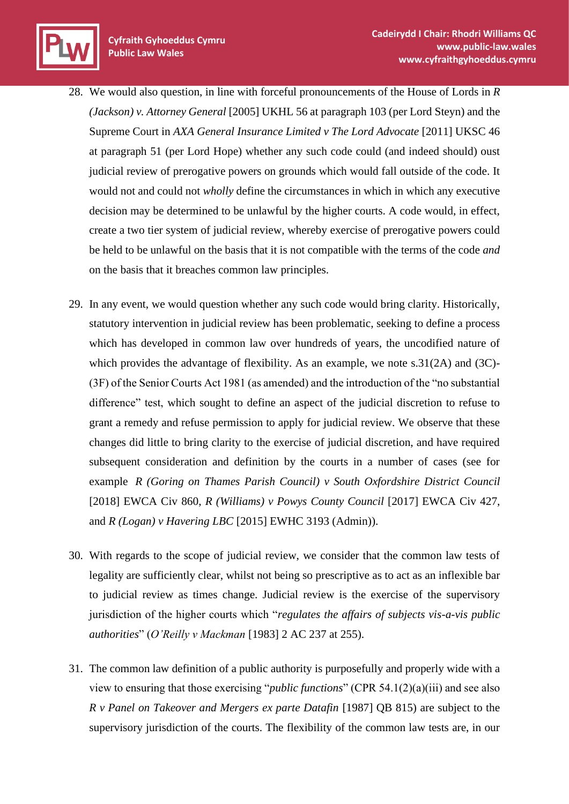

- 29. In any event, we would question whether any such code would bring clarity. Historically, statutory intervention in judicial review has been problematic, seeking to define a process which has developed in common law over hundreds of years, the uncodified nature of which provides the advantage of flexibility. As an example, we note s.31(2A) and (3C)- (3F) of the Senior Courts Act 1981 (as amended) and the introduction of the "no substantial difference" test, which sought to define an aspect of the judicial discretion to refuse to grant a remedy and refuse permission to apply for judicial review. We observe that these changes did little to bring clarity to the exercise of judicial discretion, and have required subsequent consideration and definition by the courts in a number of cases (see for example *R (Goring on Thames Parish Council) v South Oxfordshire District Council* [2018] EWCA Civ 860, *R (Williams) v Powys County Council* [2017] EWCA Civ 427, and *R (Logan) v Havering LBC* [2015] EWHC 3193 (Admin)).
- 30. With regards to the scope of judicial review, we consider that the common law tests of legality are sufficiently clear, whilst not being so prescriptive as to act as an inflexible bar to judicial review as times change. Judicial review is the exercise of the supervisory jurisdiction of the higher courts which "*regulates the affairs of subjects vis-a-vis public authorities*" (*O'Reilly v Mackman* [1983] 2 AC 237 at 255).
- 31. The common law definition of a public authority is purposefully and properly wide with a view to ensuring that those exercising "*public functions*" (CPR 54.1(2)(a)(iii) and see also *R v Panel on Takeover and Mergers ex parte Datafin* [1987] QB 815) are subject to the supervisory jurisdiction of the courts. The flexibility of the common law tests are, in our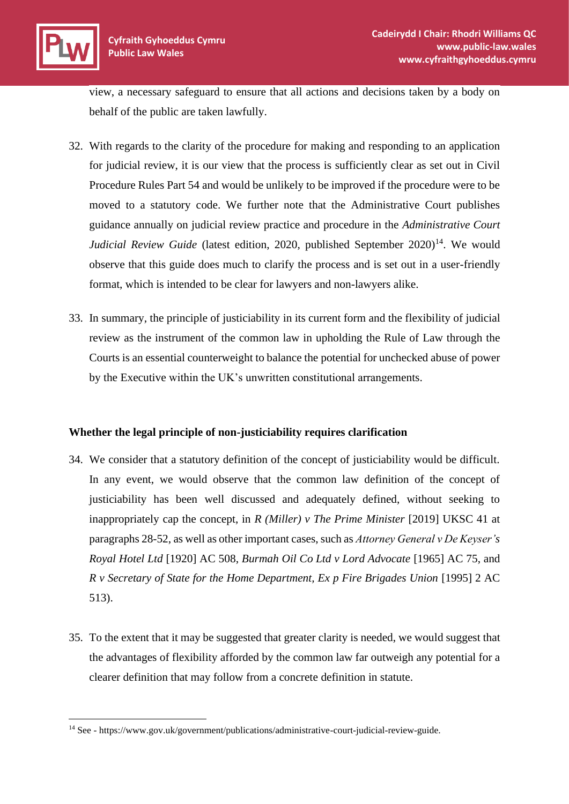view, a necessary safeguard to ensure that all actions and decisions taken by a body on behalf of the public are taken lawfully.

- 32. With regards to the clarity of the procedure for making and responding to an application for judicial review, it is our view that the process is sufficiently clear as set out in Civil Procedure Rules Part 54 and would be unlikely to be improved if the procedure were to be moved to a statutory code. We further note that the Administrative Court publishes guidance annually on judicial review practice and procedure in the *Administrative Court Judicial Review Guide* (latest edition, 2020, published September 2020)<sup>14</sup>. We would observe that this guide does much to clarify the process and is set out in a user-friendly format, which is intended to be clear for lawyers and non-lawyers alike.
- 33. In summary, the principle of justiciability in its current form and the flexibility of judicial review as the instrument of the common law in upholding the Rule of Law through the Courts is an essential counterweight to balance the potential for unchecked abuse of power by the Executive within the UK's unwritten constitutional arrangements.

# **Whether the legal principle of non-justiciability requires clarification**

- 34. We consider that a statutory definition of the concept of justiciability would be difficult. In any event, we would observe that the common law definition of the concept of justiciability has been well discussed and adequately defined, without seeking to inappropriately cap the concept, in *R (Miller) v The Prime Minister* [2019] UKSC 41 at paragraphs 28-52, as well as other important cases, such as *Attorney General v De Keyser's Royal Hotel Ltd* [1920] AC 508, *Burmah Oil Co Ltd v Lord Advocate* [1965] AC 75, and *R v Secretary of State for the Home Department, Ex p Fire Brigades Union* [1995] 2 AC 513).
- 35. To the extent that it may be suggested that greater clarity is needed, we would suggest that the advantages of flexibility afforded by the common law far outweigh any potential for a clearer definition that may follow from a concrete definition in statute.

<sup>14</sup> See - https://www.gov.uk/government/publications/administrative-court-judicial-review-guide.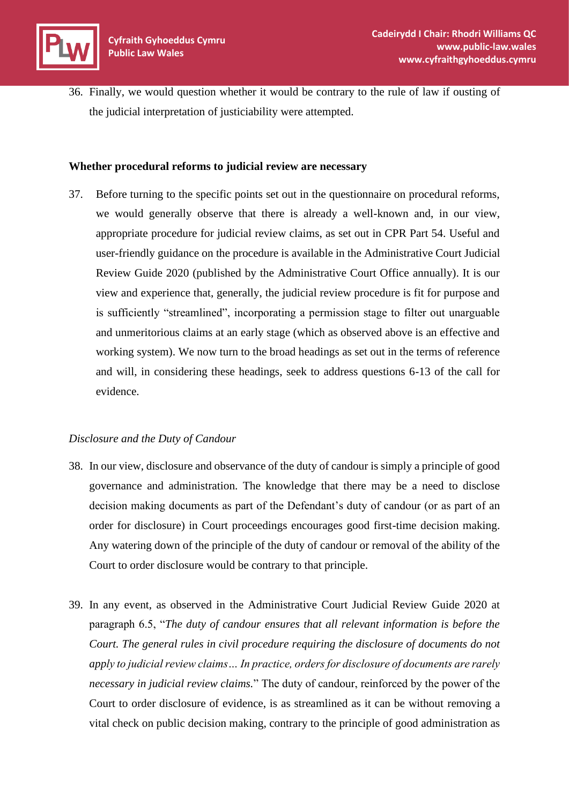36. Finally, we would question whether it would be contrary to the rule of law if ousting of the judicial interpretation of justiciability were attempted.

#### **Whether procedural reforms to judicial review are necessary**

37. Before turning to the specific points set out in the questionnaire on procedural reforms, we would generally observe that there is already a well-known and, in our view, appropriate procedure for judicial review claims, as set out in CPR Part 54. Useful and user-friendly guidance on the procedure is available in the Administrative Court Judicial Review Guide 2020 (published by the Administrative Court Office annually). It is our view and experience that, generally, the judicial review procedure is fit for purpose and is sufficiently "streamlined", incorporating a permission stage to filter out unarguable and unmeritorious claims at an early stage (which as observed above is an effective and working system). We now turn to the broad headings as set out in the terms of reference and will, in considering these headings, seek to address questions 6-13 of the call for evidence.

# *Disclosure and the Duty of Candour*

- 38. In our view, disclosure and observance of the duty of candour is simply a principle of good governance and administration. The knowledge that there may be a need to disclose decision making documents as part of the Defendant's duty of candour (or as part of an order for disclosure) in Court proceedings encourages good first-time decision making. Any watering down of the principle of the duty of candour or removal of the ability of the Court to order disclosure would be contrary to that principle.
- 39. In any event, as observed in the Administrative Court Judicial Review Guide 2020 at paragraph 6.5, "*The duty of candour ensures that all relevant information is before the Court. The general rules in civil procedure requiring the disclosure of documents do not apply to judicial review claims… In practice, orders for disclosure of documents are rarely necessary in judicial review claims.*" The duty of candour, reinforced by the power of the Court to order disclosure of evidence, is as streamlined as it can be without removing a vital check on public decision making, contrary to the principle of good administration as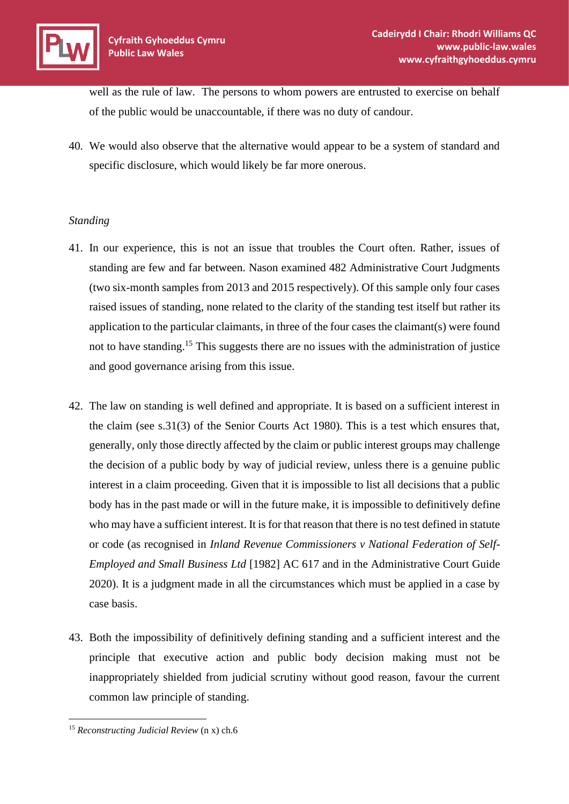well as the rule of law. The persons to whom powers are entrusted to exercise on behalf of the public would be unaccountable, if there was no duty of candour.

40. We would also observe that the alternative would appear to be a system of standard and specific disclosure, which would likely be far more onerous.

# *Standing*

- 41. In our experience, this is not an issue that troubles the Court often. Rather, issues of standing are few and far between. Nason examined 482 Administrative Court Judgments (two six-month samples from 2013 and 2015 respectively). Of this sample only four cases raised issues of standing, none related to the clarity of the standing test itself but rather its application to the particular claimants, in three of the four cases the claimant(s) were found not to have standing.<sup>15</sup> This suggests there are no issues with the administration of justice and good governance arising from this issue.
- 42. The law on standing is well defined and appropriate. It is based on a sufficient interest in the claim (see s.31(3) of the Senior Courts Act 1980). This is a test which ensures that, generally, only those directly affected by the claim or public interest groups may challenge the decision of a public body by way of judicial review, unless there is a genuine public interest in a claim proceeding. Given that it is impossible to list all decisions that a public body has in the past made or will in the future make, it is impossible to definitively define who may have a sufficient interest. It is for that reason that there is no test defined in statute or code (as recognised in *Inland Revenue Commissioners v National Federation of Self-Employed and Small Business Ltd* [1982] AC 617 and in the Administrative Court Guide 2020). It is a judgment made in all the circumstances which must be applied in a case by case basis.
- 43. Both the impossibility of definitively defining standing and a sufficient interest and the principle that executive action and public body decision making must not be inappropriately shielded from judicial scrutiny without good reason, favour the current common law principle of standing.

<sup>15</sup> *Reconstructing Judicial Review* (n x) ch.6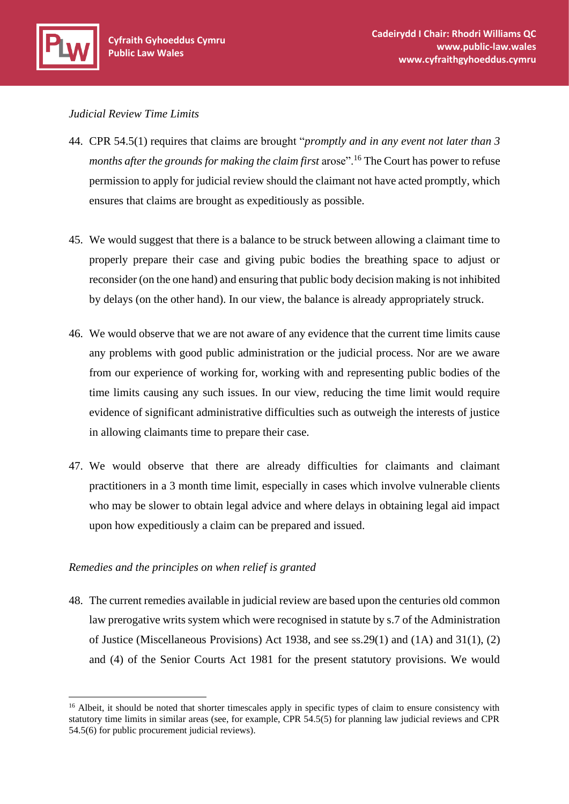#### *Judicial Review Time Limits*

- 44. CPR 54.5(1) requires that claims are brought "*promptly and in any event not later than 3 months after the grounds for making the claim first arose*".<sup>16</sup> The Court has power to refuse permission to apply for judicial review should the claimant not have acted promptly, which ensures that claims are brought as expeditiously as possible.
- 45. We would suggest that there is a balance to be struck between allowing a claimant time to properly prepare their case and giving pubic bodies the breathing space to adjust or reconsider (on the one hand) and ensuring that public body decision making is not inhibited by delays (on the other hand). In our view, the balance is already appropriately struck.
- 46. We would observe that we are not aware of any evidence that the current time limits cause any problems with good public administration or the judicial process. Nor are we aware from our experience of working for, working with and representing public bodies of the time limits causing any such issues. In our view, reducing the time limit would require evidence of significant administrative difficulties such as outweigh the interests of justice in allowing claimants time to prepare their case.
- 47. We would observe that there are already difficulties for claimants and claimant practitioners in a 3 month time limit, especially in cases which involve vulnerable clients who may be slower to obtain legal advice and where delays in obtaining legal aid impact upon how expeditiously a claim can be prepared and issued.

# *Remedies and the principles on when relief is granted*

48. The current remedies available in judicial review are based upon the centuries old common law prerogative writs system which were recognised in statute by s.7 of the Administration of Justice (Miscellaneous Provisions) Act 1938, and see ss.29(1) and (1A) and 31(1), (2) and (4) of the Senior Courts Act 1981 for the present statutory provisions. We would

<sup>&</sup>lt;sup>16</sup> Albeit, it should be noted that shorter timescales apply in specific types of claim to ensure consistency with statutory time limits in similar areas (see, for example, CPR 54.5(5) for planning law judicial reviews and CPR 54.5(6) for public procurement judicial reviews).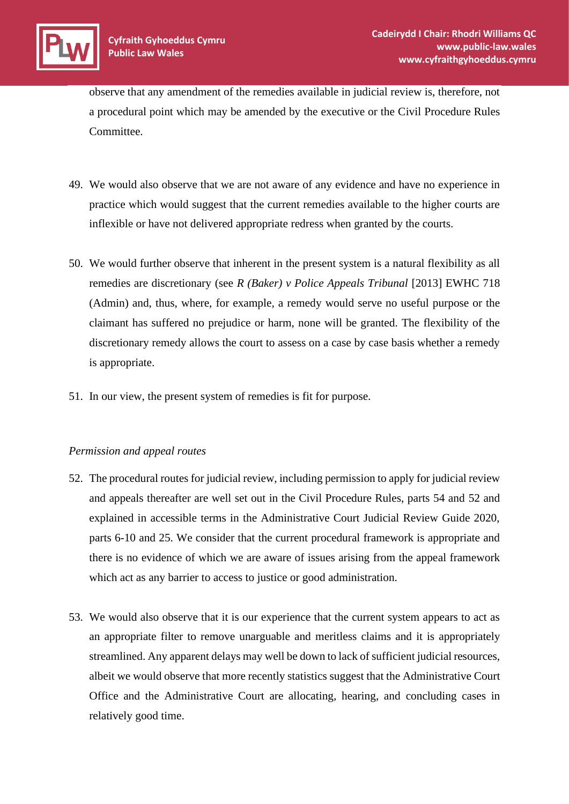observe that any amendment of the remedies available in judicial review is, therefore, not a procedural point which may be amended by the executive or the Civil Procedure Rules Committee.

- 49. We would also observe that we are not aware of any evidence and have no experience in practice which would suggest that the current remedies available to the higher courts are inflexible or have not delivered appropriate redress when granted by the courts.
- 50. We would further observe that inherent in the present system is a natural flexibility as all remedies are discretionary (see *R (Baker) v Police Appeals Tribunal* [2013] EWHC 718 (Admin) and, thus, where, for example, a remedy would serve no useful purpose or the claimant has suffered no prejudice or harm, none will be granted. The flexibility of the discretionary remedy allows the court to assess on a case by case basis whether a remedy is appropriate.
- 51. In our view, the present system of remedies is fit for purpose.

# *Permission and appeal routes*

- 52. The procedural routes for judicial review, including permission to apply for judicial review and appeals thereafter are well set out in the Civil Procedure Rules, parts 54 and 52 and explained in accessible terms in the Administrative Court Judicial Review Guide 2020, parts 6-10 and 25. We consider that the current procedural framework is appropriate and there is no evidence of which we are aware of issues arising from the appeal framework which act as any barrier to access to justice or good administration.
- 53. We would also observe that it is our experience that the current system appears to act as an appropriate filter to remove unarguable and meritless claims and it is appropriately streamlined. Any apparent delays may well be down to lack of sufficient judicial resources, albeit we would observe that more recently statistics suggest that the Administrative Court Office and the Administrative Court are allocating, hearing, and concluding cases in relatively good time.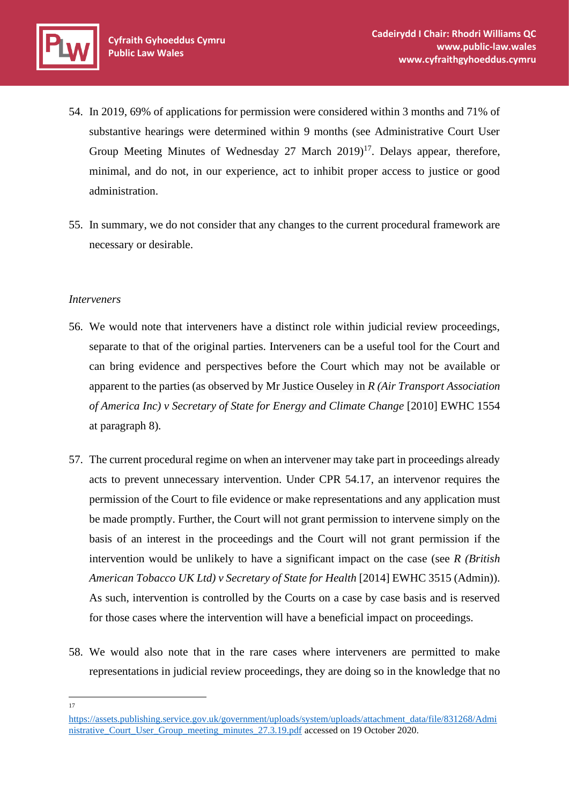- 54. In 2019, 69% of applications for permission were considered within 3 months and 71% of substantive hearings were determined within 9 months (see Administrative Court User Group Meeting Minutes of Wednesday 27 March  $2019$ <sup>17</sup>. Delays appear, therefore, minimal, and do not, in our experience, act to inhibit proper access to justice or good administration.
- 55. In summary, we do not consider that any changes to the current procedural framework are necessary or desirable.

#### *Interveners*

- 56. We would note that interveners have a distinct role within judicial review proceedings, separate to that of the original parties. Interveners can be a useful tool for the Court and can bring evidence and perspectives before the Court which may not be available or apparent to the parties (as observed by Mr Justice Ouseley in *R (Air Transport Association of America Inc) v Secretary of State for Energy and Climate Change* [2010] EWHC 1554 at paragraph 8)*.*
- 57. The current procedural regime on when an intervener may take part in proceedings already acts to prevent unnecessary intervention. Under CPR 54.17, an intervenor requires the permission of the Court to file evidence or make representations and any application must be made promptly. Further, the Court will not grant permission to intervene simply on the basis of an interest in the proceedings and the Court will not grant permission if the intervention would be unlikely to have a significant impact on the case (see *R (British American Tobacco UK Ltd) v Secretary of State for Health* [2014] EWHC 3515 (Admin)). As such, intervention is controlled by the Courts on a case by case basis and is reserved for those cases where the intervention will have a beneficial impact on proceedings.
- 58. We would also note that in the rare cases where interveners are permitted to make representations in judicial review proceedings, they are doing so in the knowledge that no

17

[https://assets.publishing.service.gov.uk/government/uploads/system/uploads/attachment\\_data/file/831268/Admi](https://assets.publishing.service.gov.uk/government/uploads/system/uploads/attachment_data/file/831268/Administrative_Court_User_Group_meeting_minutes_27.3.19.pdf) [nistrative\\_Court\\_User\\_Group\\_meeting\\_minutes\\_27.3.19.pdf](https://assets.publishing.service.gov.uk/government/uploads/system/uploads/attachment_data/file/831268/Administrative_Court_User_Group_meeting_minutes_27.3.19.pdf) accessed on 19 October 2020.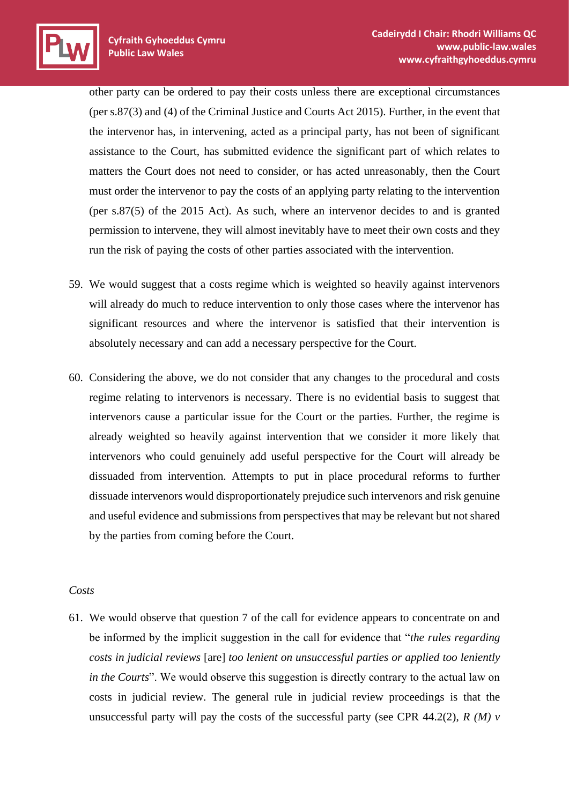other party can be ordered to pay their costs unless there are exceptional circumstances (per s.87(3) and (4) of the Criminal Justice and Courts Act 2015). Further, in the event that the intervenor has, in intervening, acted as a principal party, has not been of significant assistance to the Court, has submitted evidence the significant part of which relates to matters the Court does not need to consider, or has acted unreasonably, then the Court must order the intervenor to pay the costs of an applying party relating to the intervention (per s.87(5) of the 2015 Act). As such, where an intervenor decides to and is granted permission to intervene, they will almost inevitably have to meet their own costs and they run the risk of paying the costs of other parties associated with the intervention.

- 59. We would suggest that a costs regime which is weighted so heavily against intervenors will already do much to reduce intervention to only those cases where the intervenor has significant resources and where the intervenor is satisfied that their intervention is absolutely necessary and can add a necessary perspective for the Court.
- 60. Considering the above, we do not consider that any changes to the procedural and costs regime relating to intervenors is necessary. There is no evidential basis to suggest that intervenors cause a particular issue for the Court or the parties. Further, the regime is already weighted so heavily against intervention that we consider it more likely that intervenors who could genuinely add useful perspective for the Court will already be dissuaded from intervention. Attempts to put in place procedural reforms to further dissuade intervenors would disproportionately prejudice such intervenors and risk genuine and useful evidence and submissions from perspectives that may be relevant but not shared by the parties from coming before the Court.

#### *Costs*

61. We would observe that question 7 of the call for evidence appears to concentrate on and be informed by the implicit suggestion in the call for evidence that "*the rules regarding costs in judicial reviews* [are] *too lenient on unsuccessful parties or applied too leniently in the Courts*". We would observe this suggestion is directly contrary to the actual law on costs in judicial review. The general rule in judicial review proceedings is that the unsuccessful party will pay the costs of the successful party (see CPR 44.2(2),  $R(M)$  v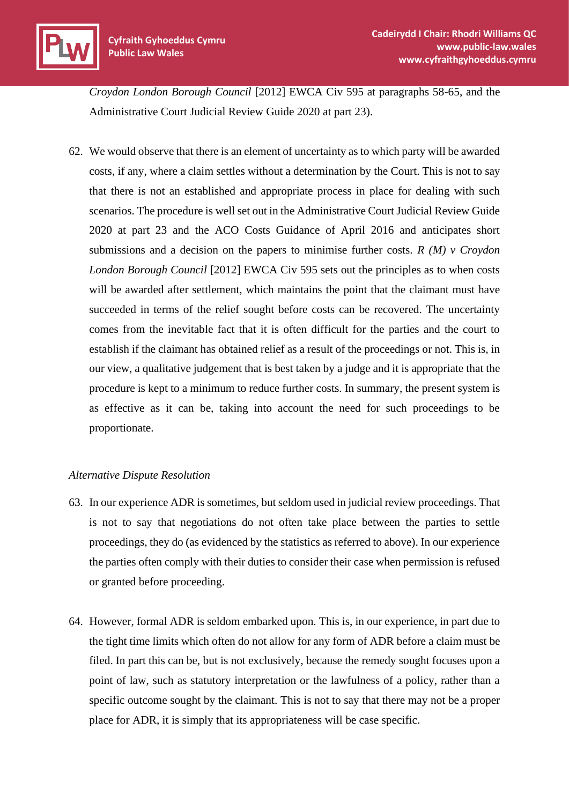*Croydon London Borough Council* [2012] EWCA Civ 595 at paragraphs 58-65, and the Administrative Court Judicial Review Guide 2020 at part 23).

62. We would observe that there is an element of uncertainty as to which party will be awarded costs, if any, where a claim settles without a determination by the Court. This is not to say that there is not an established and appropriate process in place for dealing with such scenarios. The procedure is well set out in the Administrative Court Judicial Review Guide 2020 at part 23 and the ACO Costs Guidance of April 2016 and anticipates short submissions and a decision on the papers to minimise further costs. *R (M) v Croydon London Borough Council* [2012] EWCA Civ 595 sets out the principles as to when costs will be awarded after settlement, which maintains the point that the claimant must have succeeded in terms of the relief sought before costs can be recovered. The uncertainty comes from the inevitable fact that it is often difficult for the parties and the court to establish if the claimant has obtained relief as a result of the proceedings or not. This is, in our view, a qualitative judgement that is best taken by a judge and it is appropriate that the procedure is kept to a minimum to reduce further costs. In summary, the present system is as effective as it can be, taking into account the need for such proceedings to be proportionate.

# *Alternative Dispute Resolution*

- 63. In our experience ADR is sometimes, but seldom used in judicial review proceedings. That is not to say that negotiations do not often take place between the parties to settle proceedings, they do (as evidenced by the statistics as referred to above). In our experience the parties often comply with their duties to consider their case when permission is refused or granted before proceeding.
- 64. However, formal ADR is seldom embarked upon. This is, in our experience, in part due to the tight time limits which often do not allow for any form of ADR before a claim must be filed. In part this can be, but is not exclusively, because the remedy sought focuses upon a point of law, such as statutory interpretation or the lawfulness of a policy, rather than a specific outcome sought by the claimant. This is not to say that there may not be a proper place for ADR, it is simply that its appropriateness will be case specific.